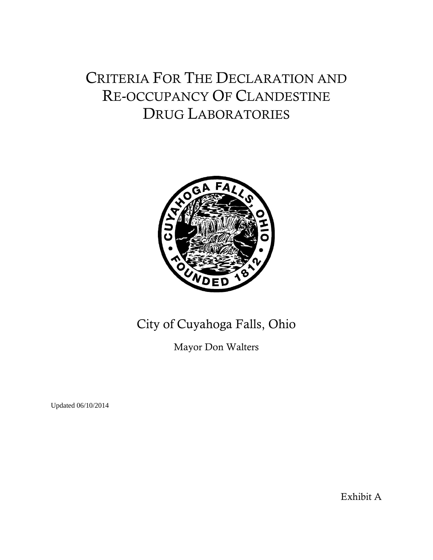# CRITERIA FOR THE DECLARATION AND RE-OCCUPANCY OF CLANDESTINE DRUG LABORATORIES



# City of Cuyahoga Falls, Ohio

Mayor Don Walters

Updated 06/10/2014

Exhibit A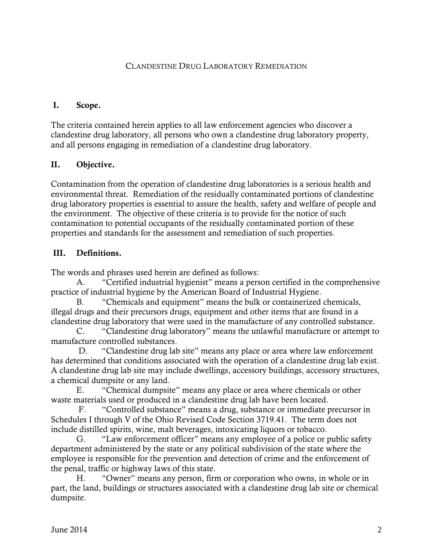## CLANDESTINE DRUG LABORATORY REMEDIATION

#### I. Scope.

The criteria contained herein applies to all law enforcement agencies who discover a clandestine drug laboratory, all persons who own a clandestine drug laboratory property, and all persons engaging in remediation of a clandestine drug laboratory.

#### II. Objective.

Contamination from the operation of clandestine drug laboratories is a serious health and environmental threat. Remediation of the residually contaminated portions of clandestine drug laboratory properties is essential to assure the health, safety and welfare of people and the environment. The objective of these criteria is to provide for the notice of such contamination to potential occupants of the residually contaminated portion of these properties and standards for the assessment and remediation of such properties.

#### III. Definitions.

The words and phrases used herein are defined as follows:

 A. "Certified industrial hygienist" means a person certified in the comprehensive practice of industrial hygiene by the American Board of Industrial Hygiene.

 B. "Chemicals and equipment" means the bulk or containerized chemicals, illegal drugs and their precursors drugs, equipment and other items that are found in a clandestine drug laboratory that were used in the manufacture of any controlled substance.

C. "Clandestine drug laboratory" means the unlawful manufacture or attempt to manufacture controlled substances.

 D. "Clandestine drug lab site" means any place or area where law enforcement has determined that conditions associated with the operation of a clandestine drug lab exist. A clandestine drug lab site may include dwellings, accessory buildings, accessory structures, a chemical dumpsite or any land.

E. "Chemical dumpsite" means any place or area where chemicals or other waste materials used or produced in a clandestine drug lab have been located.

 F. "Controlled substance" means a drug, substance or immediate precursor in Schedules I through V of the Ohio Revised Code Section 3719.41. The term does not include distilled spirits, wine, malt beverages, intoxicating liquors or tobacco.

 G. "Law enforcement officer" means any employee of a police or public safety department administered by the state or any political subdivision of the state where the employee is responsible for the prevention and detection of crime and the enforcement of the penal, traffic or highway laws of this state.

H. "Owner" means any person, firm or corporation who owns, in whole or in part, the land, buildings or structures associated with a clandestine drug lab site or chemical dumpsite.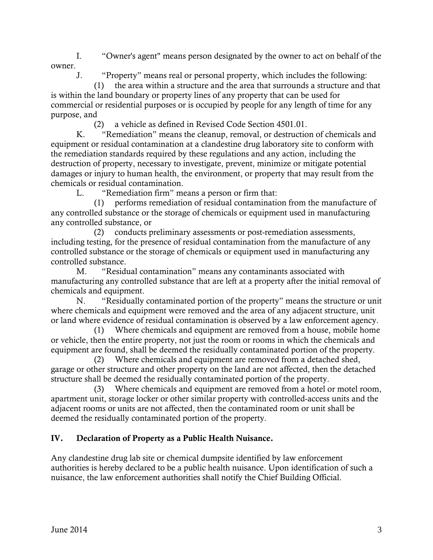I. "Owner's agent" means person designated by the owner to act on behalf of the owner.

J. "Property" means real or personal property, which includes the following:

 (1) the area within a structure and the area that surrounds a structure and that is within the land boundary or property lines of any property that can be used for commercial or residential purposes or is occupied by people for any length of time for any purpose, and

(2) a vehicle as defined in Revised Code Section 4501.01.

 K. "Remediation" means the cleanup, removal, or destruction of chemicals and equipment or residual contamination at a clandestine drug laboratory site to conform with the remediation standards required by these regulations and any action, including the destruction of property, necessary to investigate, prevent, minimize or mitigate potential damages or injury to human health, the environment, or property that may result from the chemicals or residual contamination.

L. "Remediation firm" means a person or firm that:

 (1) performs remediation of residual contamination from the manufacture of any controlled substance or the storage of chemicals or equipment used in manufacturing any controlled substance, or

 (2) conducts preliminary assessments or post-remediation assessments, including testing, for the presence of residual contamination from the manufacture of any controlled substance or the storage of chemicals or equipment used in manufacturing any controlled substance.

 M. "Residual contamination" means any contaminants associated with manufacturing any controlled substance that are left at a property after the initial removal of chemicals and equipment.

 N. "Residually contaminated portion of the property" means the structure or unit where chemicals and equipment were removed and the area of any adjacent structure, unit or land where evidence of residual contamination is observed by a law enforcement agency.

 (1) Where chemicals and equipment are removed from a house, mobile home or vehicle, then the entire property, not just the room or rooms in which the chemicals and equipment are found, shall be deemed the residually contaminated portion of the property.

 (2) Where chemicals and equipment are removed from a detached shed, garage or other structure and other property on the land are not affected, then the detached structure shall be deemed the residually contaminated portion of the property.

 (3) Where chemicals and equipment are removed from a hotel or motel room, apartment unit, storage locker or other similar property with controlled-access units and the adjacent rooms or units are not affected, then the contaminated room or unit shall be deemed the residually contaminated portion of the property.

# IV. Declaration of Property as a Public Health Nuisance.

Any clandestine drug lab site or chemical dumpsite identified by law enforcement authorities is hereby declared to be a public health nuisance. Upon identification of such a nuisance, the law enforcement authorities shall notify the Chief Building Official.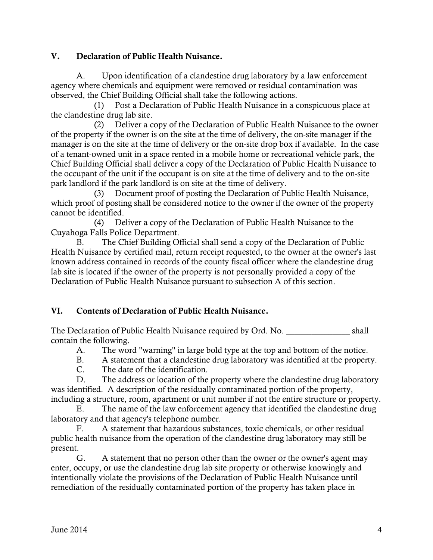#### V. Declaration of Public Health Nuisance.

 A. Upon identification of a clandestine drug laboratory by a law enforcement agency where chemicals and equipment were removed or residual contamination was observed, the Chief Building Official shall take the following actions.

 (1) Post a Declaration of Public Health Nuisance in a conspicuous place at the clandestine drug lab site.

 (2) Deliver a copy of the Declaration of Public Health Nuisance to the owner of the property if the owner is on the site at the time of delivery, the on-site manager if the manager is on the site at the time of delivery or the on-site drop box if available. In the case of a tenant-owned unit in a space rented in a mobile home or recreational vehicle park, the Chief Building Official shall deliver a copy of the Declaration of Public Health Nuisance to the occupant of the unit if the occupant is on site at the time of delivery and to the on-site park landlord if the park landlord is on site at the time of delivery.

 (3) Document proof of posting the Declaration of Public Health Nuisance, which proof of posting shall be considered notice to the owner if the owner of the property cannot be identified.

 (4) Deliver a copy of the Declaration of Public Health Nuisance to the Cuyahoga Falls Police Department.

 B. The Chief Building Official shall send a copy of the Declaration of Public Health Nuisance by certified mail, return receipt requested, to the owner at the owner's last known address contained in records of the county fiscal officer where the clandestine drug lab site is located if the owner of the property is not personally provided a copy of the Declaration of Public Health Nuisance pursuant to subsection A of this section.

# VI. Contents of Declaration of Public Health Nuisance.

The Declaration of Public Health Nuisance required by Ord. No. \_\_\_\_\_\_\_\_\_\_\_\_\_\_\_\_\_\_ shall contain the following.

A. The word "warning" in large bold type at the top and bottom of the notice.

B. A statement that a clandestine drug laboratory was identified at the property.

C. The date of the identification.

 D. The address or location of the property where the clandestine drug laboratory was identified. A description of the residually contaminated portion of the property, including a structure, room, apartment or unit number if not the entire structure or property.

 E. The name of the law enforcement agency that identified the clandestine drug laboratory and that agency's telephone number.

 F. A statement that hazardous substances, toxic chemicals, or other residual public health nuisance from the operation of the clandestine drug laboratory may still be present.

 G. A statement that no person other than the owner or the owner's agent may enter, occupy, or use the clandestine drug lab site property or otherwise knowingly and intentionally violate the provisions of the Declaration of Public Health Nuisance until remediation of the residually contaminated portion of the property has taken place in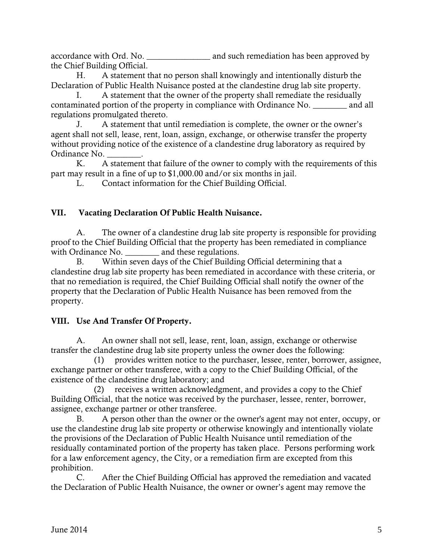accordance with Ord. No. \_\_\_\_\_\_\_\_\_\_\_\_\_\_\_\_\_\_\_\_\_\_\_ and such remediation has been approved by the Chief Building Official.

 H. A statement that no person shall knowingly and intentionally disturb the Declaration of Public Health Nuisance posted at the clandestine drug lab site property.

 I. A statement that the owner of the property shall remediate the residually contaminated portion of the property in compliance with Ordinance No. \_\_\_\_\_\_\_\_ and all regulations promulgated thereto.

 J. A statement that until remediation is complete, the owner or the owner's agent shall not sell, lease, rent, loan, assign, exchange, or otherwise transfer the property without providing notice of the existence of a clandestine drug laboratory as required by Ordinance No. \_\_\_\_\_\_\_\_.

 K. A statement that failure of the owner to comply with the requirements of this part may result in a fine of up to \$1,000.00 and/or six months in jail.

L. Contact information for the Chief Building Official.

# VII. Vacating Declaration Of Public Health Nuisance.

 A. The owner of a clandestine drug lab site property is responsible for providing proof to the Chief Building Official that the property has been remediated in compliance with Ordinance No. \_\_\_\_\_\_\_\_\_ and these regulations.

 B. Within seven days of the Chief Building Official determining that a clandestine drug lab site property has been remediated in accordance with these criteria, or that no remediation is required, the Chief Building Official shall notify the owner of the property that the Declaration of Public Health Nuisance has been removed from the property.

# VIII. Use And Transfer Of Property.

 A. An owner shall not sell, lease, rent, loan, assign, exchange or otherwise transfer the clandestine drug lab site property unless the owner does the following:

 (1) provides written notice to the purchaser, lessee, renter, borrower, assignee, exchange partner or other transferee, with a copy to the Chief Building Official, of the existence of the clandestine drug laboratory; and

 (2) receives a written acknowledgment, and provides a copy to the Chief Building Official, that the notice was received by the purchaser, lessee, renter, borrower, assignee, exchange partner or other transferee.

 B. A person other than the owner or the owner's agent may not enter, occupy, or use the clandestine drug lab site property or otherwise knowingly and intentionally violate the provisions of the Declaration of Public Health Nuisance until remediation of the residually contaminated portion of the property has taken place. Persons performing work for a law enforcement agency, the City, or a remediation firm are excepted from this prohibition.

 C. After the Chief Building Official has approved the remediation and vacated the Declaration of Public Health Nuisance, the owner or owner's agent may remove the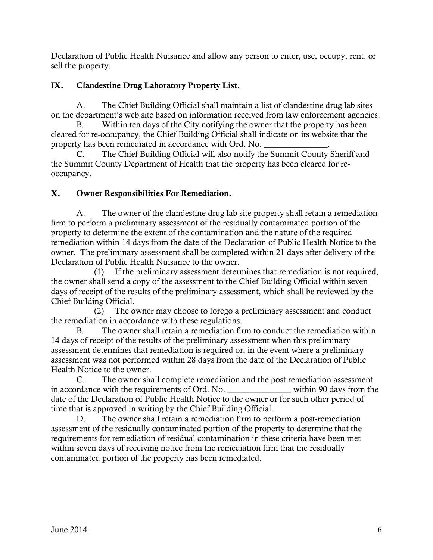Declaration of Public Health Nuisance and allow any person to enter, use, occupy, rent, or sell the property.

# IX. Clandestine Drug Laboratory Property List.

 A. The Chief Building Official shall maintain a list of clandestine drug lab sites on the department's web site based on information received from law enforcement agencies.

 B. Within ten days of the City notifying the owner that the property has been cleared for re-occupancy, the Chief Building Official shall indicate on its website that the property has been remediated in accordance with Ord. No.

 C. The Chief Building Official will also notify the Summit County Sheriff and the Summit County Department of Health that the property has been cleared for reoccupancy.

# X. Owner Responsibilities For Remediation.

 A. The owner of the clandestine drug lab site property shall retain a remediation firm to perform a preliminary assessment of the residually contaminated portion of the property to determine the extent of the contamination and the nature of the required remediation within 14 days from the date of the Declaration of Public Health Notice to the owner. The preliminary assessment shall be completed within 21 days after delivery of the Declaration of Public Health Nuisance to the owner.

 (1) If the preliminary assessment determines that remediation is not required, the owner shall send a copy of the assessment to the Chief Building Official within seven days of receipt of the results of the preliminary assessment, which shall be reviewed by the Chief Building Official.

 (2) The owner may choose to forego a preliminary assessment and conduct the remediation in accordance with these regulations.

 B. The owner shall retain a remediation firm to conduct the remediation within 14 days of receipt of the results of the preliminary assessment when this preliminary assessment determines that remediation is required or, in the event where a preliminary assessment was not performed within 28 days from the date of the Declaration of Public Health Notice to the owner.

 C. The owner shall complete remediation and the post remediation assessment in accordance with the requirements of Ord. No.  $\qquad \qquad$  within 90 days from the date of the Declaration of Public Health Notice to the owner or for such other period of time that is approved in writing by the Chief Building Official.

 D. The owner shall retain a remediation firm to perform a post-remediation assessment of the residually contaminated portion of the property to determine that the requirements for remediation of residual contamination in these criteria have been met within seven days of receiving notice from the remediation firm that the residually contaminated portion of the property has been remediated.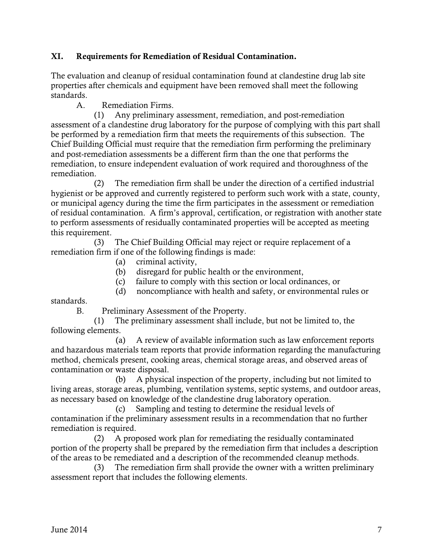#### XI. Requirements for Remediation of Residual Contamination.

The evaluation and cleanup of residual contamination found at clandestine drug lab site properties after chemicals and equipment have been removed shall meet the following standards.

A. Remediation Firms.

 (1) Any preliminary assessment, remediation, and post-remediation assessment of a clandestine drug laboratory for the purpose of complying with this part shall be performed by a remediation firm that meets the requirements of this subsection. The Chief Building Official must require that the remediation firm performing the preliminary and post-remediation assessments be a different firm than the one that performs the remediation, to ensure independent evaluation of work required and thoroughness of the remediation.

 (2) The remediation firm shall be under the direction of a certified industrial hygienist or be approved and currently registered to perform such work with a state, county, or municipal agency during the time the firm participates in the assessment or remediation of residual contamination. A firm's approval, certification, or registration with another state to perform assessments of residually contaminated properties will be accepted as meeting this requirement.

 (3) The Chief Building Official may reject or require replacement of a remediation firm if one of the following findings is made:

- (a) criminal activity,
- (b) disregard for public health or the environment,
- (c) failure to comply with this section or local ordinances, or
- (d) noncompliance with health and safety, or environmental rules or

standards.

B. Preliminary Assessment of the Property.

 (1) The preliminary assessment shall include, but not be limited to, the following elements.

 (a) A review of available information such as law enforcement reports and hazardous materials team reports that provide information regarding the manufacturing method, chemicals present, cooking areas, chemical storage areas, and observed areas of contamination or waste disposal.

 (b) A physical inspection of the property, including but not limited to living areas, storage areas, plumbing, ventilation systems, septic systems, and outdoor areas, as necessary based on knowledge of the clandestine drug laboratory operation.

 (c) Sampling and testing to determine the residual levels of contamination if the preliminary assessment results in a recommendation that no further remediation is required.

 (2) A proposed work plan for remediating the residually contaminated portion of the property shall be prepared by the remediation firm that includes a description of the areas to be remediated and a description of the recommended cleanup methods.

 (3) The remediation firm shall provide the owner with a written preliminary assessment report that includes the following elements.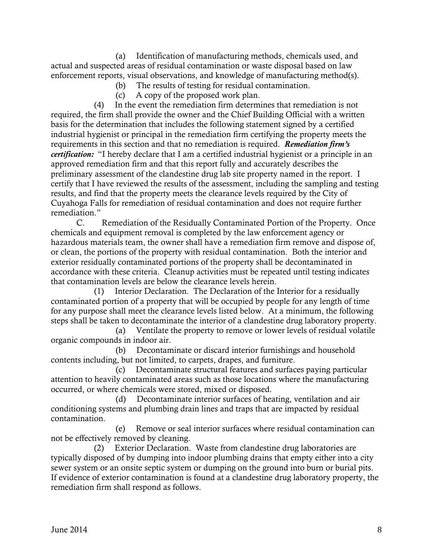(a) Identification of manufacturing methods, chemicals used, and actual and suspected areas of residual contamination or waste disposal based on law enforcement reports, visual observations, and knowledge of manufacturing method(s).

- (b) The results of testing for residual contamination.
- (c) A copy of the proposed work plan.

 (4) In the event the remediation firm determines that remediation is not required, the firm shall provide the owner and the Chief Building Official with a written basis for the determination that includes the following statement signed by a certified industrial hygienist or principal in the remediation firm certifying the property meets the requirements in this section and that no remediation is required. *Remediation firm's certification:* "I hereby declare that I am a certified industrial hygienist or a principle in an approved remediation firm and that this report fully and accurately describes the preliminary assessment of the clandestine drug lab site property named in the report. I certify that I have reviewed the results of the assessment, including the sampling and testing results, and find that the property meets the clearance levels required by the City of Cuyahoga Falls for remediation of residual contamination and does not require further remediation."

 C. Remediation of the Residually Contaminated Portion of the Property. Once chemicals and equipment removal is completed by the law enforcement agency or hazardous materials team, the owner shall have a remediation firm remove and dispose of, or clean, the portions of the property with residual contamination. Both the interior and exterior residually contaminated portions of the property shall be decontaminated in accordance with these criteria. Cleanup activities must be repeated until testing indicates that contamination levels are below the clearance levels herein.

 (1) Interior Declaration. The Declaration of the Interior for a residually contaminated portion of a property that will be occupied by people for any length of time for any purpose shall meet the clearance levels listed below. At a minimum, the following steps shall be taken to decontaminate the interior of a clandestine drug laboratory property.

 (a) Ventilate the property to remove or lower levels of residual volatile organic compounds in indoor air.

 (b) Decontaminate or discard interior furnishings and household contents including, but not limited, to carpets, drapes, and furniture.

 (c) Decontaminate structural features and surfaces paying particular attention to heavily contaminated areas such as those locations where the manufacturing occurred, or where chemicals were stored, mixed or disposed.

 (d) Decontaminate interior surfaces of heating, ventilation and air conditioning systems and plumbing drain lines and traps that are impacted by residual contamination.

 (e) Remove or seal interior surfaces where residual contamination can not be effectively removed by cleaning.

 (2) Exterior Declaration. Waste from clandestine drug laboratories are typically disposed of by dumping into indoor plumbing drains that empty either into a city sewer system or an onsite septic system or dumping on the ground into burn or burial pits. If evidence of exterior contamination is found at a clandestine drug laboratory property, the remediation firm shall respond as follows.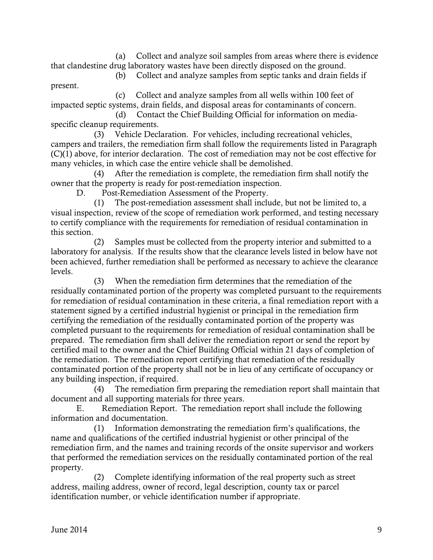(a) Collect and analyze soil samples from areas where there is evidence that clandestine drug laboratory wastes have been directly disposed on the ground.

(b) Collect and analyze samples from septic tanks and drain fields if

 (c) Collect and analyze samples from all wells within 100 feet of impacted septic systems, drain fields, and disposal areas for contaminants of concern.

 (d) Contact the Chief Building Official for information on mediaspecific cleanup requirements.

 (3) Vehicle Declaration. For vehicles, including recreational vehicles, campers and trailers, the remediation firm shall follow the requirements listed in Paragraph (C)(1) above, for interior declaration. The cost of remediation may not be cost effective for many vehicles, in which case the entire vehicle shall be demolished.

 (4) After the remediation is complete, the remediation firm shall notify the owner that the property is ready for post-remediation inspection.

D. Post-Remediation Assessment of the Property.

 (1) The post-remediation assessment shall include, but not be limited to, a visual inspection, review of the scope of remediation work performed, and testing necessary to certify compliance with the requirements for remediation of residual contamination in this section.

 (2) Samples must be collected from the property interior and submitted to a laboratory for analysis. If the results show that the clearance levels listed in below have not been achieved, further remediation shall be performed as necessary to achieve the clearance levels.

 (3) When the remediation firm determines that the remediation of the residually contaminated portion of the property was completed pursuant to the requirements for remediation of residual contamination in these criteria, a final remediation report with a statement signed by a certified industrial hygienist or principal in the remediation firm certifying the remediation of the residually contaminated portion of the property was completed pursuant to the requirements for remediation of residual contamination shall be prepared. The remediation firm shall deliver the remediation report or send the report by certified mail to the owner and the Chief Building Official within 21 days of completion of the remediation. The remediation report certifying that remediation of the residually contaminated portion of the property shall not be in lieu of any certificate of occupancy or any building inspection, if required.

 (4) The remediation firm preparing the remediation report shall maintain that document and all supporting materials for three years.

 E. Remediation Report. The remediation report shall include the following information and documentation.

 (1) Information demonstrating the remediation firm's qualifications, the name and qualifications of the certified industrial hygienist or other principal of the remediation firm, and the names and training records of the onsite supervisor and workers that performed the remediation services on the residually contaminated portion of the real property.

 (2) Complete identifying information of the real property such as street address, mailing address, owner of record, legal description, county tax or parcel identification number, or vehicle identification number if appropriate.

present.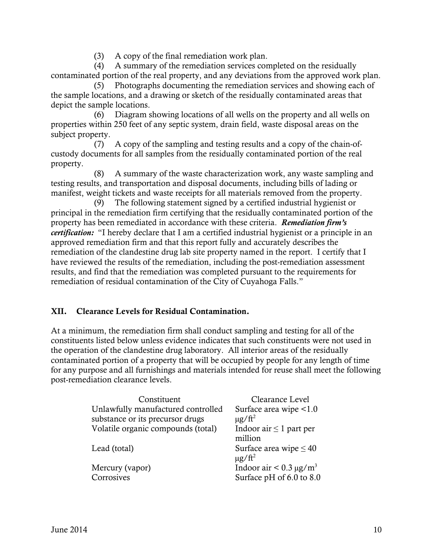(3) A copy of the final remediation work plan.

 (4) A summary of the remediation services completed on the residually contaminated portion of the real property, and any deviations from the approved work plan.

 (5) Photographs documenting the remediation services and showing each of the sample locations, and a drawing or sketch of the residually contaminated areas that depict the sample locations.

 (6) Diagram showing locations of all wells on the property and all wells on properties within 250 feet of any septic system, drain field, waste disposal areas on the subject property.

 (7) A copy of the sampling and testing results and a copy of the chain-ofcustody documents for all samples from the residually contaminated portion of the real property.

 (8) A summary of the waste characterization work, any waste sampling and testing results, and transportation and disposal documents, including bills of lading or manifest, weight tickets and waste receipts for all materials removed from the property.

 (9) The following statement signed by a certified industrial hygienist or principal in the remediation firm certifying that the residually contaminated portion of the property has been remediated in accordance with these criteria. *Remediation firm's certification:* "I hereby declare that I am a certified industrial hygienist or a principle in an approved remediation firm and that this report fully and accurately describes the remediation of the clandestine drug lab site property named in the report. I certify that I have reviewed the results of the remediation, including the post-remediation assessment results, and find that the remediation was completed pursuant to the requirements for remediation of residual contamination of the City of Cuyahoga Falls."

## XII. Clearance Levels for Residual Contamination.

At a minimum, the remediation firm shall conduct sampling and testing for all of the constituents listed below unless evidence indicates that such constituents were not used in the operation of the clandestine drug laboratory. All interior areas of the residually contaminated portion of a property that will be occupied by people for any length of time for any purpose and all furnishings and materials intended for reuse shall meet the following post-remediation clearance levels.

| Constituent                        | Clearance Level                         |
|------------------------------------|-----------------------------------------|
| Unlawfully manufactured controlled | Surface area wipe <1.0                  |
| substance or its precursor drugs   | $\mu$ g/ft <sup>2</sup>                 |
| Volatile organic compounds (total) | Indoor air $\leq 1$ part per<br>million |
| Lead (total)                       | Surface area wipe $\leq 40$             |
|                                    | $\mu$ g/ft <sup>2</sup>                 |
| Mercury (vapor)                    | Indoor air $< 0.3 \mu g/m3$             |
| Corrosives                         | Surface pH of 6.0 to 8.0                |